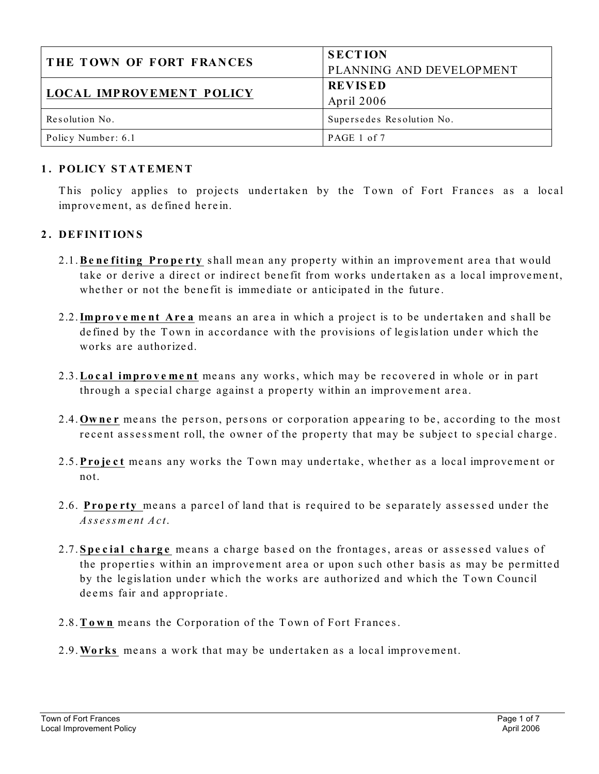| <b>THE TOWN OF FORT FRANCES</b> | <b>SECTION</b>            |
|---------------------------------|---------------------------|
|                                 | PLANNING AND DEVELOPMENT  |
| <b>LOCAL IMPROVEMENT POLICY</b> | <b>REVISED</b>            |
|                                 | April 2006                |
| Resolution No.                  | Supersedes Resolution No. |
| Policy Number: 6.1              | PAGE 1 of 7               |

#### **1 . POLICY S T AT EMEN T**

This policy applies to projects undertaken by the Town of Fort Frances as a local improvement, as defined herein.

#### **2 . DEFIN IT ION S**

- 2.1. **Be ne fiting Property** shall mean any property within an improvement area that would take or derive a direct or indirect benefit from works undertaken as a local improvement, whether or not the benefit is immediate or anticipated in the future.
- 2.2. **Improvement Area** means an area in which a project is to be undertaken and shall be de fined by the Town in accordance with the provisions of legislation under which the works are authorize d.
- 2.3.**Local improve me nt** me ans any works , which may be re cove re d in whole or in part through a special charge against a property within an improvement area.
- 2.4. **Owner** means the person, persons or corporation appearing to be, according to the most recent assessment roll, the owner of the property that may be subject to special charge.
- 2.5. **Project** means any works the Town may undertake, whether as a local improvement or not.
- 2.6. **Property** means a parcel of land that is required to be separately assessed under the *Assessment Act*.
- 2.7. **S pe cial charge** means a charge based on the frontages, areas or assessed values of the properties within an improvement area or upon such other basis as may be permitted by the legislation under which the works are authorized and which the Town Council deems fair and appropriate .
- 2.8. Town means the Corporation of the Town of Fort Frances.
- 2.9. Works means a work that may be undertaken as a local improvement.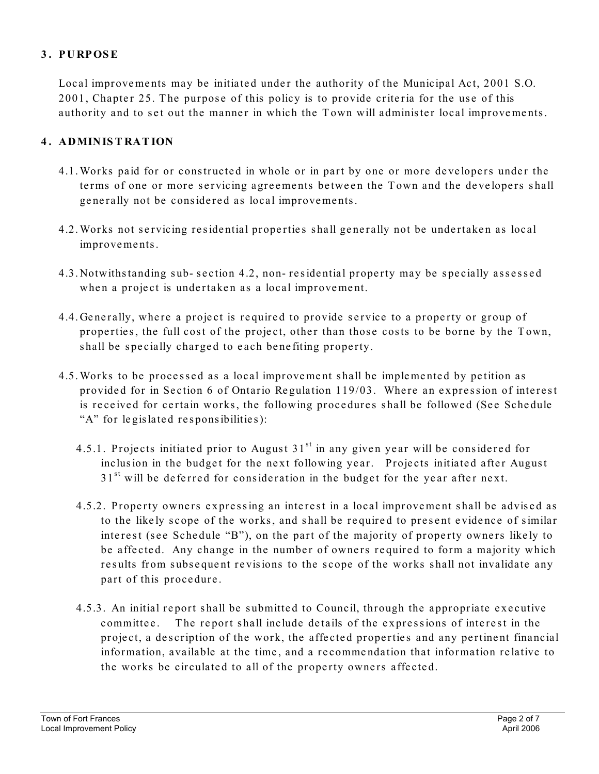## **3 . PURPOSE**

Local improvements may be initiated under the authority of the Municipal Act, 2001 S.O. 2001, Chapter 25. The purpose of this policy is to provide criteria for the use of this authority and to set out the manner in which the Town will administer local improvements.

## **4 . ADMIN IS T RAT ION**

- 4.1. Works paid for or constructed in whole or in part by one or more developers under the terms of one or more servicing agreements between the Town and the developers shall generally not be considered as local improvements.
- 4.2. Works not servicing residential properties shall generally not be undertaken as local improve me nts.
- 4.3. Notwithstanding sub- section 4.2, non-residential property may be specially assessed when a project is undertaken as a local improvement.
- 4.4. Generally, where a project is required to provide service to a property or group of properties, the full cost of the project, other than those costs to be borne by the Town, shall be specially charged to each benefiting property.
- 4.5. Works to be processed as a local improvement shall be implemented by petition as provided for in Section 6 of Ontario Regulation 119/03. Where an expression of interest is received for certain works, the following procedures shall be followed (See Schedule "A" for legislated responsibilities):
	- 4.5.1. Projects initiated prior to August  $31<sup>st</sup>$  in any given year will be considered for inclusion in the budget for the next following year. Projects initiated after August  $31<sup>st</sup>$  will be deferred for consideration in the budget for the year after next.
	- 4.5.2. Property owners expressing an interest in a local improvement shall be advised as to the likely scope of the works, and shall be required to present evidence of similar interest (see Schedule "B"), on the part of the majority of property owners likely to be affected. Any change in the number of owners required to form a majority which results from subsequent revisions to the scope of the works shall not invalidate any part of this procedure.
	- 4.5.3. An initial report shall be submitted to Council, through the appropriate executive committee. The report shall include details of the expressions of interest in the project, a description of the work, the affected properties and any pertinent financial information, available at the time , and a re comme ndation that information re lative to the works be circulated to all of the property owners affected.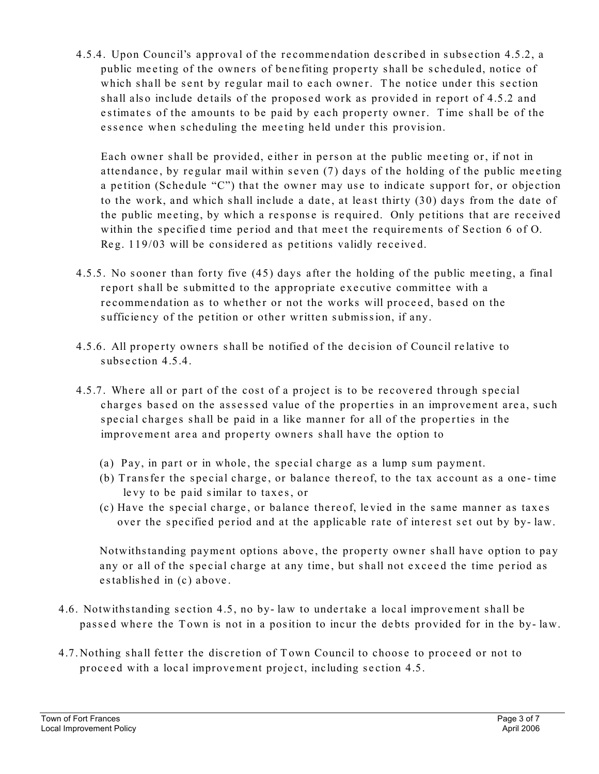4.5.4. Upon Council's approval of the re comme ndation de scribe d in subse ction 4.5.2, a public meeting of the owners of benefiting property shall be scheduled, notice of which shall be sent by regular mail to each owner. The notice under this section shall also include details of the proposed work as provided in report of 4.5.2 and estimates of the amounts to be paid by each property owner. Time shall be of the essence when scheduling the meeting held under this provision.

Each owner shall be provided, either in person at the public meeting or, if not in attendance, by regular mail within seven (7) days of the holding of the public meeting a petition (Schedule "C") that the owner may use to indicate support for, or objection to the work, and which shall include a date , at le ast thirty (30) days from the date of the public meeting, by which a response is required. Only petitions that are received within the specified time period and that meet the requirements of Section 6 of O. Reg. 119/03 will be considered as petitions validly received.

- 4.5.5. No sooner than forty five (45) days after the holding of the public meeting, a final report shall be submitted to the appropriate executive committee with a recommendation as to whether or not the works will proceed, based on the sufficiency of the petition or other written submission, if any.
- 4.5.6. All property owners shall be notified of the decision of Council relative to subsection 4.5.4.
- 4.5.7. Where all or part of the cost of a project is to be recovered through special charges based on the assessed value of the properties in an improvement area, such special charges shall be paid in a like manner for all of the properties in the improvement area and property owners shall have the option to
	- (a) Pay, in part or in whole, the special charge as a lump sum payment.
	- (b) Transfer the special charge, or balance there of, to the tax account as a one-time le vy to be paid similar to taxe s, or
	- (c) Have the special charge, or balance there of, levied in the same manner as taxes over the specified period and at the applicable rate of interest set out by by-law.

Notwithstanding payment options above, the property owner shall have option to pay any or all of the special charge at any time, but shall not exceed the time period as e stablished in (c) above.

- 4.6. Notwithstanding section 4.5, no by- law to undertake a local improvement shall be passed where the Town is not in a position to incur the debts provided for in the by-law.
- 4.7. Nothing shall fetter the discretion of Town Council to choose to proceed or not to proceed with a local improvement project, including section 4.5.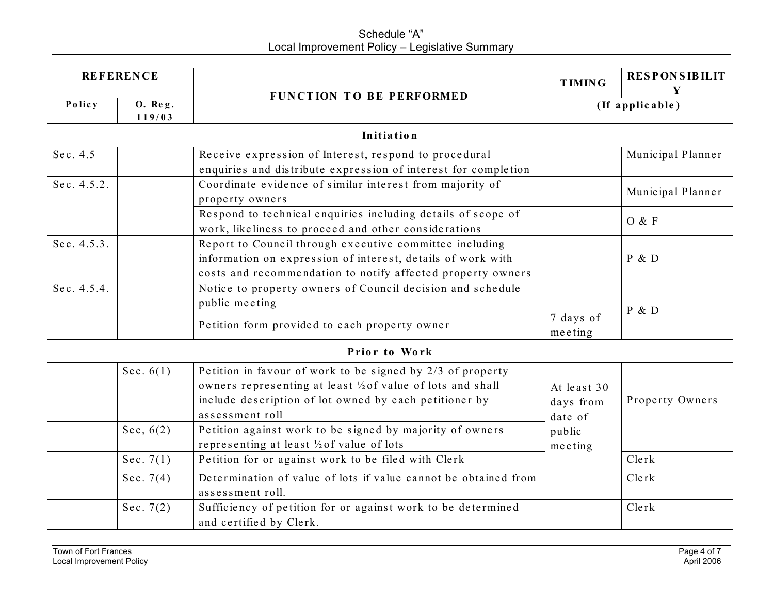# Schedule "A" Local Improvement Policy – Legislative Summary

| <b>REFERENCE</b>                                                                                        |                                                                              |                                                                                                                                                                                                        | <b>TIMING</b>                       | <b>RESPONSIBILIT</b> |
|---------------------------------------------------------------------------------------------------------|------------------------------------------------------------------------------|--------------------------------------------------------------------------------------------------------------------------------------------------------------------------------------------------------|-------------------------------------|----------------------|
| Policy                                                                                                  | 0. Re <sub>g</sub> .<br>119/03                                               | FUNCTION TO BE PERFORMED                                                                                                                                                                               | Y<br>(If applicable)                |                      |
|                                                                                                         |                                                                              | Initiation                                                                                                                                                                                             |                                     |                      |
| Sec. 4.5                                                                                                |                                                                              | Receive expression of Interest, respond to procedural<br>enquiries and distribute expression of interest for completion                                                                                |                                     | Municipal Planner    |
| Sec. 4.5.2.                                                                                             |                                                                              | Coordinate evidence of similar interest from majority of<br>property owners                                                                                                                            |                                     | Municipal Planner    |
|                                                                                                         |                                                                              | Respond to technical enquiries including details of scope of<br>work, likeliness to proceed and other considerations                                                                                   |                                     | O & F                |
| Sec. 4.5.3.                                                                                             |                                                                              | Report to Council through executive committee including<br>information on expression of interest, details of work with<br>costs and recommendation to notify affected property owners                  |                                     | P & D                |
| Sec. 4.5.4.                                                                                             | Notice to property owners of Council decision and schedule<br>public meeting |                                                                                                                                                                                                        |                                     | P & D                |
|                                                                                                         |                                                                              | Petition form provided to each property owner                                                                                                                                                          | 7 days of<br>meeting                |                      |
|                                                                                                         |                                                                              | Prior to Work                                                                                                                                                                                          |                                     |                      |
|                                                                                                         | Sec. $6(1)$                                                                  | Petition in favour of work to be signed by 2/3 of property<br>owners representing at least 1/2 of value of lots and shall<br>include description of lot owned by each petitioner by<br>assessment roll | At least 30<br>days from<br>date of | Property Owners      |
|                                                                                                         | Sec. $6(2)$                                                                  | Petition against work to be signed by majority of owners<br>representing at least 1/2 of value of lots                                                                                                 | public<br>meeting                   |                      |
|                                                                                                         | Sec. 7 $(1)$                                                                 | Petition for or against work to be filed with Clerk                                                                                                                                                    |                                     | Clerk                |
|                                                                                                         | Sec. 7 $(4)$                                                                 | Determination of value of lots if value cannot be obtained from<br>assessment roll.                                                                                                                    |                                     | Clerk                |
| Sufficiency of petition for or against work to be determined<br>Sec. 7 $(2)$<br>and certified by Clerk. |                                                                              |                                                                                                                                                                                                        | Clerk                               |                      |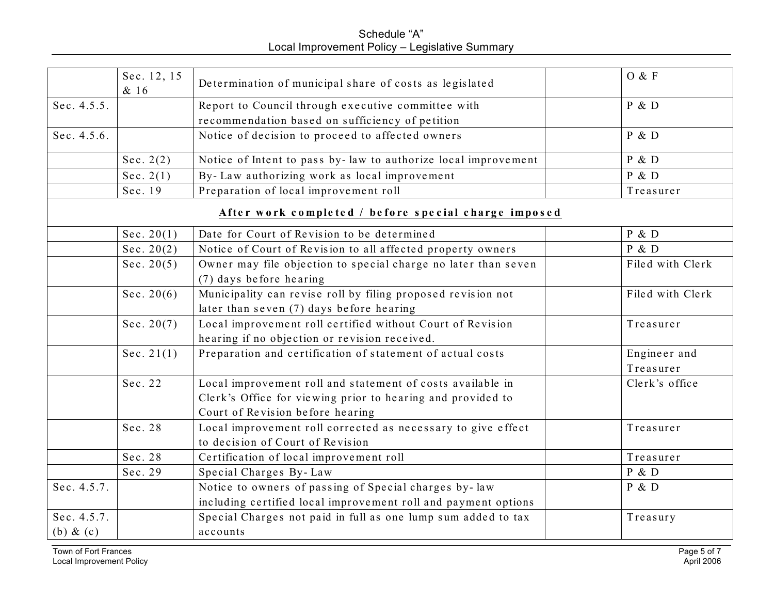Schedule "A" Local Improvement Policy – Legislative Summary

|                             | Sec. 12, 15<br>& 16 | Determination of municipal share of costs as legislated                                                                                                       | O & F                     |
|-----------------------------|---------------------|---------------------------------------------------------------------------------------------------------------------------------------------------------------|---------------------------|
| Sec. 4.5.5.                 |                     | Report to Council through executive committee with<br>recommendation based on sufficiency of petition                                                         | P & D                     |
| Sec. 4.5.6.                 |                     | Notice of decision to proceed to affected owners                                                                                                              | P & D                     |
|                             | Sec. $2(2)$         | Notice of Intent to pass by-law to authorize local improvement                                                                                                | P & D                     |
|                             | Sec. $2(1)$         | By-Law authorizing work as local improvement                                                                                                                  | P & D                     |
|                             | Sec. 19             | Preparation of local improvement roll                                                                                                                         | Treasurer                 |
|                             |                     | After work completed / before special charge imposed                                                                                                          |                           |
|                             | Sec. $20(1)$        | Date for Court of Revision to be determined                                                                                                                   | P & D                     |
|                             | Sec. $20(2)$        | Notice of Court of Revision to all affected property owners                                                                                                   | P & D                     |
|                             | Sec. $20(5)$        | Owner may file objection to special charge no later than seven<br>(7) days before hearing                                                                     | Filed with Clerk          |
|                             | Sec. $20(6)$        | Municipality can revise roll by filing proposed revision not<br>later than seven (7) days before hearing                                                      | Filed with Clerk          |
|                             | Sec. $20(7)$        | Local improvement roll certified without Court of Revision<br>hearing if no objection or revision received.                                                   | Treasurer                 |
|                             | Sec. $21(1)$        | Preparation and certification of statement of actual costs                                                                                                    | Engineer and<br>Treasurer |
|                             | Sec. 22             | Local improvement roll and statement of costs available in<br>Clerk's Office for viewing prior to hearing and provided to<br>Court of Revision before hearing | Clerk's office            |
|                             | Sec. 28             | Local improvement roll corrected as necessary to give effect<br>to decision of Court of Revision                                                              | Treasurer                 |
|                             | Sec. 28             | Certification of local improvement roll                                                                                                                       | Treasurer                 |
|                             | Sec. 29             | Special Charges By-Law                                                                                                                                        | P & D                     |
| Sec. 4.5.7.                 |                     | Notice to owners of passing of Special charges by-law<br>including certified local improvement roll and payment options                                       | P & D                     |
| Sec. 4.5.7.<br>(b) $\&$ (c) |                     | Special Charges not paid in full as one lump sum added to tax<br>accounts                                                                                     | Treasury                  |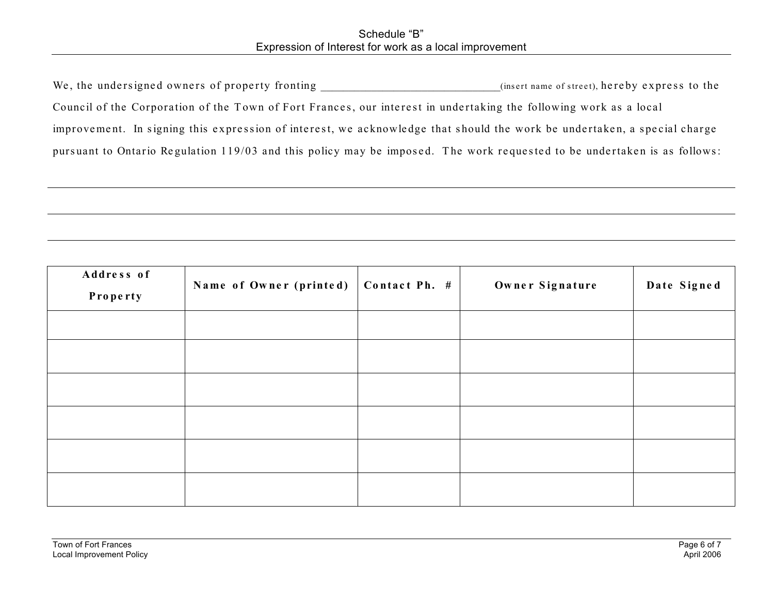#### Schedule "B" Expression of Interest for work as a local improvement

| We, the undersigned owners of property fronting                                                                          | (insert name of street), hereby express to the |
|--------------------------------------------------------------------------------------------------------------------------|------------------------------------------------|
| Council of the Corporation of the Town of Fort Frances, our interest in undertaking the following work as a local        |                                                |
| improvement. In signing this expression of interest, we acknowledge that should the work be undertaken, a special charge |                                                |
| pursuant to Ontario Regulation 119/03 and this policy may be imposed. The work requested to be undertaken is as follows: |                                                |

| Address of<br>Property | Name of Owner (printed) | Contact Ph. # | Owner Signature | Date Signed |
|------------------------|-------------------------|---------------|-----------------|-------------|
|                        |                         |               |                 |             |
|                        |                         |               |                 |             |
|                        |                         |               |                 |             |
|                        |                         |               |                 |             |
|                        |                         |               |                 |             |
|                        |                         |               |                 |             |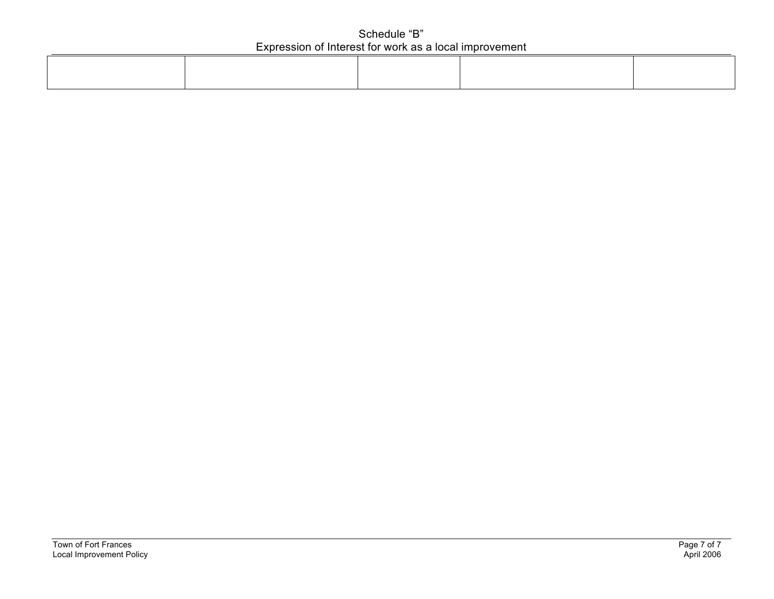#### Schedule "B" Expression of Interest for work as a local improvement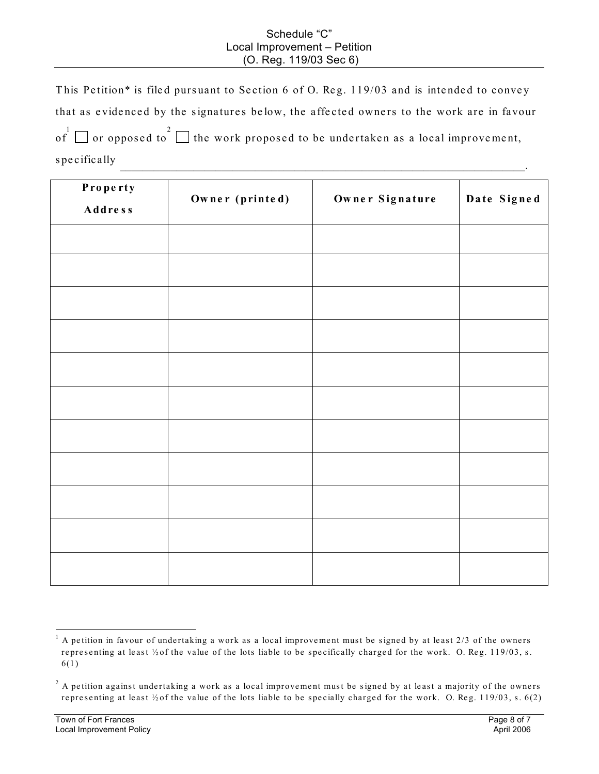#### Schedule "C" Local Improvement – Petition (O. Reg. 119/03 Sec 6)

This Petition\* is filed pursuant to Section 6 of O. Reg. 119/03 and is intended to convey that as evidenced by the signatures below, the affected owners to the work are in favour of  $\Box$  or opposed to  $2$   $\Box$  the work proposed to be undertaken as a local improvement, specifically **example 2** and  $\overline{a}$  and  $\overline{b}$  and  $\overline{c}$  and  $\overline{d}$  and  $\overline{d}$  and  $\overline{d}$  and  $\overline{d}$  and  $\overline{d}$  and  $\overline{d}$  and  $\overline{d}$  and  $\overline{d}$  and  $\overline{d}$  and  $\overline{d}$  and  $\overline{d}$  and  $\overline{d}$  an

| Property<br><b>Address</b> | Owner (printed) | Owner Signature | Date Signed |
|----------------------------|-----------------|-----------------|-------------|
|                            |                 |                 |             |
|                            |                 |                 |             |
|                            |                 |                 |             |
|                            |                 |                 |             |
|                            |                 |                 |             |
|                            |                 |                 |             |
|                            |                 |                 |             |
|                            |                 |                 |             |
|                            |                 |                 |             |
|                            |                 |                 |             |
|                            |                 |                 |             |

 $1$  A petition in favour of undertaking a work as a local improvement must be signed by at least 2/3 of the owners representing at least  $\frac{1}{2}$  of the value of the lots liable to be specifically charged for the work. O. Reg. 119/03, s. 6(1)

 $2$  A petition against undertaking a work as a local improvement must be signed by at least a majority of the owners representing at least  $\frac{1}{2}$  of the value of the lots liable to be specially charged for the work. O. Reg. 119/03, s. 6(2)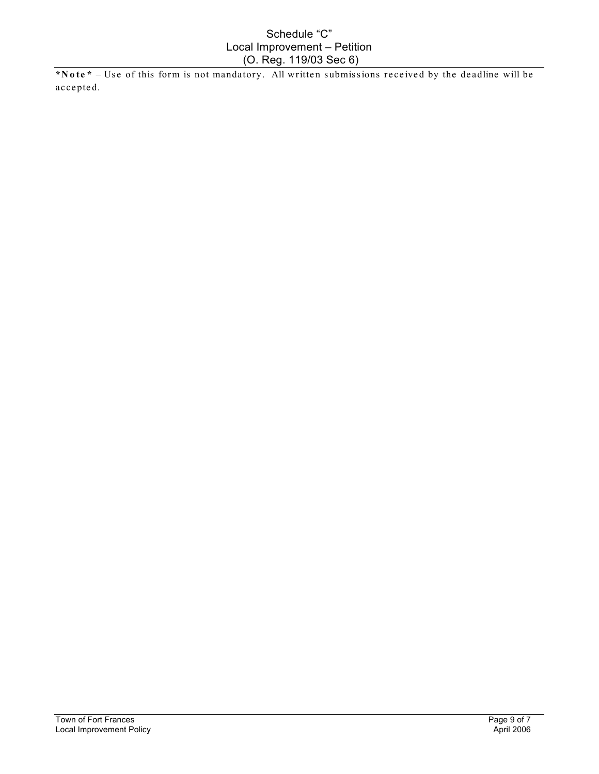#### Schedule "C" Local Improvement – Petition (O. Reg. 119/03 Sec 6)

\*Note\* – Use of this form is not mandatory. All written submissions received by the deadline will be accepted.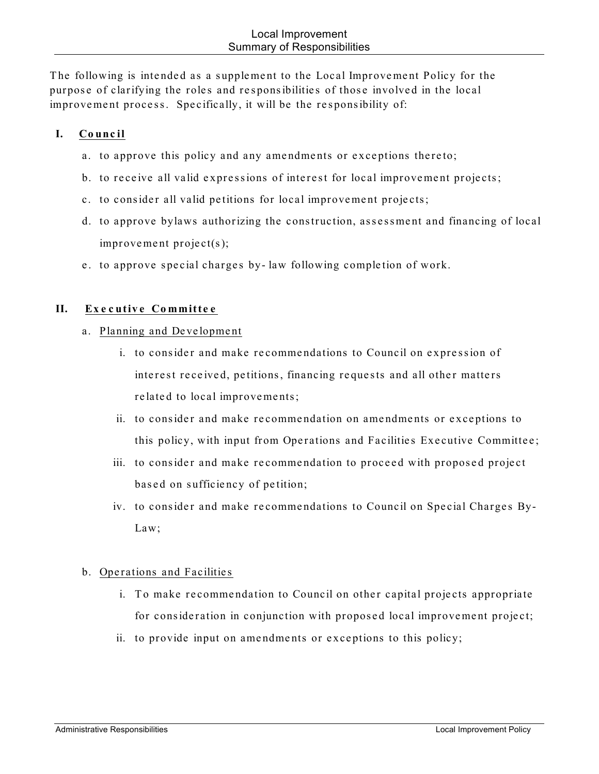The following is intended as a supplement to the Local Improvement Policy for the purpose of clarifying the roles and responsibilities of those involved in the local improvement process. Specifically, it will be the responsibility of:

## **I. Council**

- a. to approve this policy and any amendments or exceptions thereto;
- b. to receive all valid expressions of interest for local improvement projects;
- c. to consider all valid petitions for local improvement projects;
- d. to approve bylaws authorizing the construction, asse ssme nt and financing of local improvement project(s);
- e. to approve special charges by-law following completion of work.

## **II. Exe cutive Committe e**

- a. Planning and De ve lopme nt
	- i. to consider and make recommendations to Council on expression of interest received, petitions, financing requests and all other matters related to local improvements;
	- ii. to consider and make recommendation on amendments or exceptions to this policy, with input from Operations and Facilities Executive Committee;
	- iii. to consider and make recommendation to proceed with proposed project based on sufficiency of petition;
	- iv. to consider and make recommendations to Council on Special Charges By-Law;

#### b. Operations and Facilities

- i. To make recommendation to Council on other capital projects appropriate for consideration in conjunction with proposed local improvement project;
- ii. to provide input on amendments or exceptions to this policy;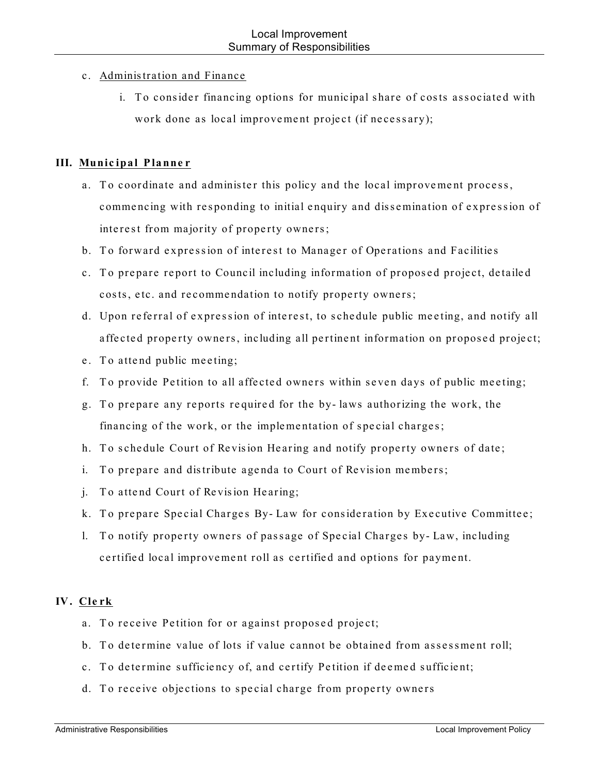## c. Administration and Finance

i. To consider financing options for municipal share of costs associated with work done as local improvement project (if necessary);

## **III. Munic ipal Planne r**

- a. To coordinate and administer this policy and the local improvement process, commencing with responding to initial enquiry and dissemination of expression of interest from majority of property owners;
- b. To forward expression of interest to Manager of Operations and Facilities
- c. To prepare report to Council including information of proposed project, detailed costs, etc. and recommendation to notify property owners;
- d. Upon referral of expression of interest, to schedule public meeting, and notify all affected property owners, including all pertinent information on proposed project;
- e. To attend public meeting;
- f. To provide Petition to all affected owners within seven days of public meeting;
- g. To prepare any reports required for the by-laws authorizing the work, the financing of the work, or the implementation of special charges;
- h. To schedule Court of Revision Hearing and notify property owners of date;
- i. To prepare and distribute agenda to Court of Revision members;
- j. To attend Court of Revision Hearing;
- k. To prepare Special Charges By-Law for consideration by Executive Committee;
- l. To notify property owners of passage of Special Charges by-Law, including certified local improvement roll as certified and options for payment.

## **IV. Cle rk**

- a. To receive Petition for or against proposed project;
- b. To determine value of lots if value cannot be obtained from assessment roll;
- c. To determine sufficiency of, and certify Petition if deemed sufficient;
- d. To receive objections to special charge from property owners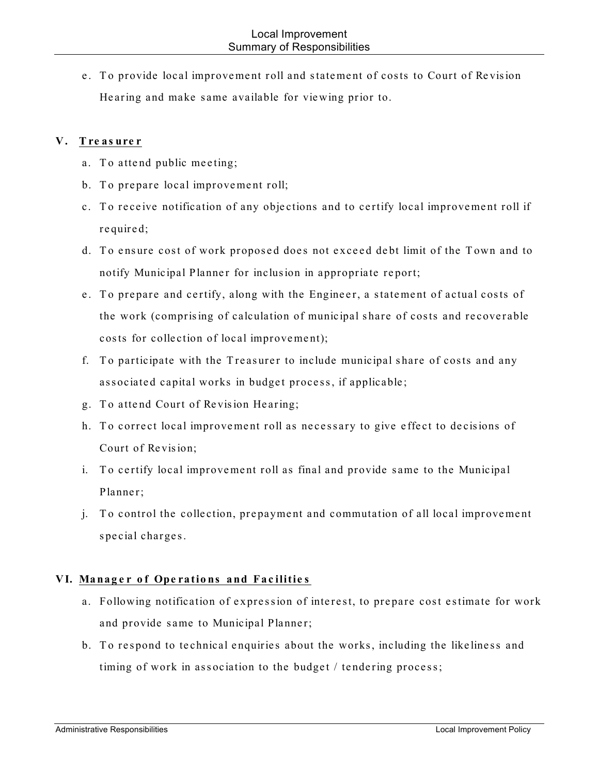e. To provide local improvement roll and statement of costs to Court of Revision He aring and make same available for vie wing prior to.

### **V . Tre as ure r**

- a. To attend public meeting;
- b. To prepare local improvement roll;
- c. To receive notification of any objections and to certify local improvement roll if re quire d;
- d. To ensure cost of work proposed does not exceed debt limit of the Town and to notify Municipal Planner for inclusion in appropriate report;
- e. To prepare and certify, along with the Engineer, a statement of actual costs of the work (comprising of calculation of municipal share of costs and recoverable costs for collection of local improvement);
- f. To participate with the Treasurer to include municipal share of costs and any associated capital works in budget process, if applicable;
- g. To attend Court of Revision Hearing;
- h. To correct local improvement roll as necessary to give effect to decisions of Court of Revision;
- i. To certify local improvement roll as final and provide same to the Municipal Planner;
- j. To control the collection, prepayment and commutation of all local improvement spe cial charge s.

## **VI. Manag e r o f Ope ratio ns and Fac ilitie s**

- a. Following notification of expression of interest, to prepare cost estimate for work and provide same to Municipal Planner;
- b. To respond to technical enquiries about the works, including the like liness and timing of work in association to the budget / tendering process;